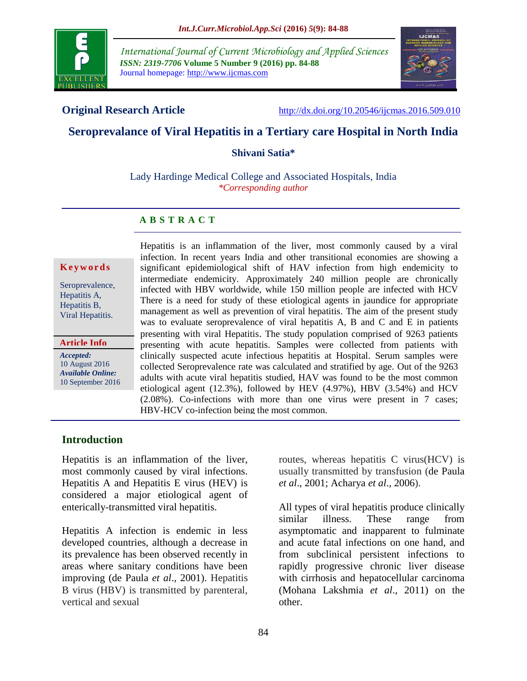

*International Journal of Current Microbiology and Applied Sciences ISSN: 2319-7706* **Volume 5 Number 9 (2016) pp. 84-88** Journal homepage: http://www.ijcmas.com



**Original Research Article** <http://dx.doi.org/10.20546/ijcmas.2016.509.010>

# **Seroprevalance of Viral Hepatitis in a Tertiary care Hospital in North India**

**Shivani Satia\***

Lady Hardinge Medical College and Associated Hospitals, India *\*Corresponding author*

# **A B S T R A C T**

#### **K e y w o r d s**

Seroprevalence, Hepatitis A, Hepatitis B, Viral Hepatitis.

**Article Info**

*Accepted:*  10 August 2016 *Available Online:* 10 September 2016 Hepatitis is an inflammation of the liver, most commonly caused by a viral infection. In recent years India and other transitional economies are showing a significant epidemiological shift of HAV infection from high endemicity to intermediate endemicity. Approximately 240 million people are chronically infected with HBV worldwide, while 150 million people are infected with HCV There is a need for study of these etiological agents in jaundice for appropriate management as well as prevention of viral hepatitis. The aim of the present study was to evaluate seroprevalence of viral hepatitis A, B and C and E in patients presenting with viral Hepatitis. The study population comprised of 9263 patients presenting with acute hepatitis. Samples were collected from patients with clinically suspected acute infectious hepatitis at Hospital. Serum samples were collected Seroprevalence rate was calculated and stratified by age. Out of the 9263 adults with acute viral hepatitis studied, HAV was found to be the most common etiological agent (12.3%), followed by HEV (4.97%), HBV (3.54%) and HCV (2.08%). Co-infections with more than one virus were present in 7 cases; HBV-HCV co-infection being the most common.

# **Introduction**

Hepatitis is an inflammation of the liver, most commonly caused by viral infections. Hepatitis A and Hepatitis E virus (HEV) is considered a major etiological agent of enterically-transmitted viral hepatitis.

Hepatitis A infection is endemic in less developed countries, although a decrease in its prevalence has been observed recently in areas where sanitary conditions have been improving (de Paula *et al*., 2001). Hepatitis B virus (HBV) is transmitted by parenteral, vertical and sexual

routes, whereas hepatitis C virus(HCV) is usually transmitted by transfusion (de Paula *et al*., 2001; Acharya *et al*., 2006).

All types of viral hepatitis produce clinically similar illness. These range from asymptomatic and inapparent to fulminate and acute fatal infections on one hand, and from subclinical persistent infections to rapidly progressive chronic liver disease with cirrhosis and hepatocellular carcinoma (Mohana Lakshmia *et al*., 2011) on the other.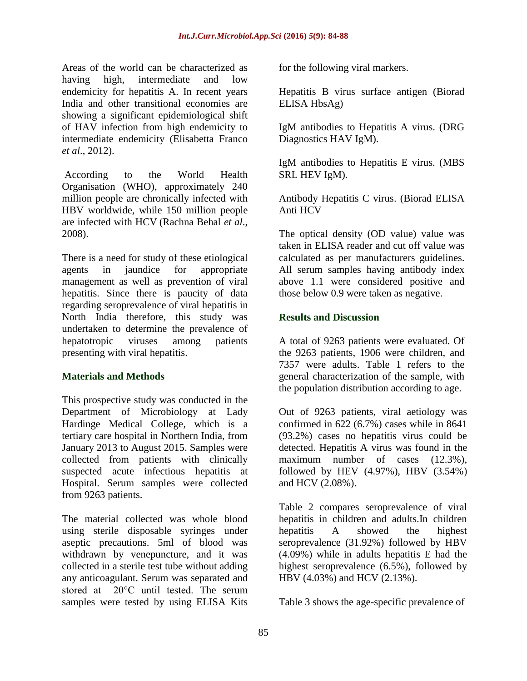Areas of the world can be characterized as having high, intermediate and low endemicity for hepatitis A. In recent years India and other transitional economies are showing a significant epidemiological shift of HAV infection from high endemicity to intermediate endemicity (Elisabetta Franco *et al*., 2012).

According to the World Health Organisation (WHO), approximately 240 million people are chronically infected with HBV worldwide, while 150 million people are infected with HCV (Rachna Behal *et al*., 2008).

There is a need for study of these etiological agents in jaundice for appropriate management as well as prevention of viral hepatitis. Since there is paucity of data regarding seroprevalence of viral hepatitis in North India therefore, this study was undertaken to determine the prevalence of hepatotropic viruses among patients presenting with viral hepatitis.

#### **Materials and Methods**

This prospective study was conducted in the Department of Microbiology at Lady Hardinge Medical College*,* which is a tertiary care hospital in Northern India, from January 2013 to August 2015. Samples were collected from patients with clinically suspected acute infectious hepatitis at Hospital. Serum samples were collected from 9263 patients.

The material collected was whole blood using sterile disposable syringes under aseptic precautions. 5ml of blood was withdrawn by venepuncture, and it was collected in a sterile test tube without adding any anticoagulant. Serum was separated and stored at −20°C until tested. The serum samples were tested by using ELISA Kits

for the following viral markers.

Hepatitis B virus surface antigen (Biorad ELISA HbsAg)

IgM antibodies to Hepatitis A virus. (DRG Diagnostics HAV IgM).

IgM antibodies to Hepatitis E virus. (MBS SRL HEV IgM).

Antibody Hepatitis C virus. (Biorad ELISA Anti HCV

The optical density (OD value) value was taken in ELISA reader and cut off value was calculated as per manufacturers guidelines. All serum samples having antibody index above 1.1 were considered positive and those below 0.9 were taken as negative.

### **Results and Discussion**

A total of 9263 patients were evaluated. Of the 9263 patients, 1906 were children, and 7357 were adults. Table 1 refers to the general characterization of the sample, with the population distribution according to age.

Out of 9263 patients, viral aetiology was confirmed in 622 (6.7%) cases while in 8641 (93.2%) cases no hepatitis virus could be detected. Hepatitis A virus was found in the maximum number of cases (12.3%), followed by HEV (4.97%), HBV (3.54%) and HCV (2.08%).

Table 2 compares seroprevalence of viral hepatitis in children and adults.In children hepatitis A showed the highest seroprevalence (31.92%) followed by HBV (4.09%) while in adults hepatitis E had the highest seroprevalence (6.5%), followed by HBV (4.03%) and HCV (2.13%).

Table 3 shows the age-specific prevalence of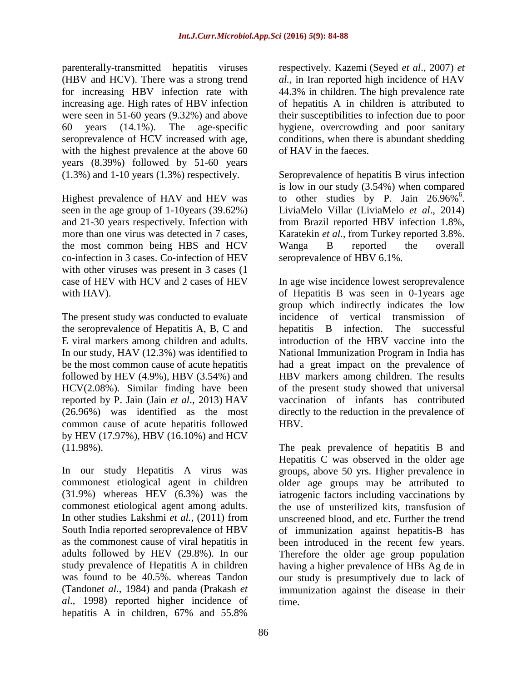parenterally-transmitted hepatitis viruses (HBV and HCV). There was a strong trend for increasing HBV infection rate with increasing age. High rates of HBV infection were seen in 51-60 years (9.32%) and above 60 years (14.1%). The age-specific seroprevalence of HCV increased with age, with the highest prevalence at the above 60 years (8.39%) followed by 51-60 years (1.3%) and 1-10 years (1.3%) respectively.

Highest prevalence of HAV and HEV was seen in the age group of 1-10years (39.62%) and 21-30 years respectively. Infection with more than one virus was detected in 7 cases, the most common being HBS and HCV co-infection in 3 cases. Co-infection of HEV with other viruses was present in 3 cases (1) case of HEV with HCV and 2 cases of HEV with HAV).

The present study was conducted to evaluate the seroprevalence of Hepatitis A, B, C and E viral markers among children and adults. In our study, HAV (12.3%) was identified to be the most common cause of acute hepatitis followed by HEV  $(4.9\%)$ , HBV  $(3.54\%)$  and HCV(2.08%). Similar finding have been reported by P. Jain (Jain *et al*., 2013) HAV (26.96%) was identified as the most common cause of acute hepatitis followed by HEV (17.97%), HBV (16.10%) and HCV (11.98%).

In our study Hepatitis A virus was commonest etiological agent in children (31.9%) whereas HEV (6.3%) was the commonest etiological agent among adults. In other studies Lakshmi *et al.,* (2011) from South India reported seroprevalence of HBV as the commonest cause of viral hepatitis in adults followed by HEV (29.8%). In our study prevalence of Hepatitis A in children was found to be 40.5%. whereas Tandon (Tandon*et al*., 1984) and panda (Prakash *et al*., 1998) reported higher incidence of hepatitis A in children, 67% and 55.8%

respectively. Kazemi (Seyed *et al*., 2007) *et al.,* in Iran reported high incidence of HAV 44.3% in children. The high prevalence rate of hepatitis A in children is attributed to their susceptibilities to infection due to poor hygiene, overcrowding and poor sanitary conditions, when there is abundant shedding of HAV in the faeces.

Seroprevalence of hepatitis B virus infection is low in our study (3.54%) when compared to other studies by P. Jain  $26.96\%$ <sup>6</sup>. LiviaMelo Villar (LiviaMelo *et al*., 2014) from Brazil reported HBV infection 1.8%, Karatekin *et al.,* from Turkey reported 3.8%. Wanga B reported the overall seroprevalence of HBV 6.1%.

In age wise incidence lowest seroprevalence of Hepatitis B was seen in 0-1years age group which indirectly indicates the low incidence of vertical transmission of hepatitis B infection. The successful introduction of the HBV vaccine into the National Immunization Program in India has had a great impact on the prevalence of HBV markers among children. The results of the present study showed that universal vaccination of infants has contributed directly to the reduction in the prevalence of HBV.

The peak prevalence of hepatitis B and Hepatitis C was observed in the older age groups, above 50 yrs. Higher prevalence in older age groups may be attributed to iatrogenic factors including vaccinations by the use of unsterilized kits, transfusion of unscreened blood, and etc. Further the trend of immunization against hepatitis-B has been introduced in the recent few years. Therefore the older age group population having a higher prevalence of HBs Ag de in our study is presumptively due to lack of immunization against the disease in their time.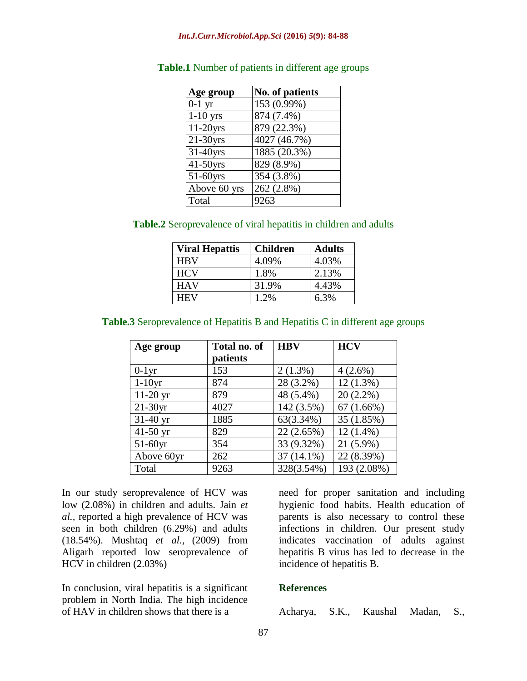| Age group    | <b>No. of patients</b> |
|--------------|------------------------|
| $0-1$ yr     | 153 (0.99%)            |
| $1-10$ yrs   | 874 (7.4%)             |
| $11-20$ yrs  | 879 (22.3%)            |
| $21-30yrs$   | 4027 (46.7%)           |
| $31-40$ yrs  | 1885 (20.3%)           |
| $41-50$ yrs  | 829 (8.9%)             |
| 51-60yrs     | 354 (3.8%)             |
| Above 60 yrs | 262 (2.8%)             |
| Total        | 9263                   |

|  |  |  | Table.1 Number of patients in different age groups |  |
|--|--|--|----------------------------------------------------|--|
|--|--|--|----------------------------------------------------|--|

| <b>Table.2</b> Seroprevalence of viral hepatitis in children and adults |  |  |  |  |  |  |
|-------------------------------------------------------------------------|--|--|--|--|--|--|
|-------------------------------------------------------------------------|--|--|--|--|--|--|

| <b>Viral Hepattis</b> | <b>Children</b> | <b>Adults</b> |
|-----------------------|-----------------|---------------|
| <b>HRV</b>            | 4.09%           | 4.03%         |
| <b>HCV</b>            | 1.8%            | 2.13%         |
| <b>HAV</b>            | 31.9%           | 4.43%         |
| HEV                   | 1.2%            | 6.3%          |

### **Table.3** Seroprevalence of Hepatitis B and Hepatitis C in different age groups

| Age group  | Total no. of | <b>HBV</b>   | <b>HCV</b>  |
|------------|--------------|--------------|-------------|
|            | patients     |              |             |
| $0-1yr$    | 153          | $2(1.3\%)$   | $4(2.6\%)$  |
| $1-10yr$   | 874          | 28 (3.2%)    | $12(1.3\%)$ |
| $11-20$ yr | 879          | 48 (5.4%)    | $20(2.2\%)$ |
| $21-30yr$  | 4027         | 142 (3.5%)   | 67(1.66%)   |
| $31-40$ yr | 1885         | 63(3.34%)    | 35 (1.85%)  |
| $41-50$ yr | 829          | 22 (2.65%)   | $12(1.4\%)$ |
| $51-60$ yr | 354          | 33 (9.32%)   | $21(5.9\%)$ |
| Above 60yr | 262          | $37(14.1\%)$ | 22 (8.39%)  |
| Total      | 9263         | 328(3.54%)   | 193 (2.08%) |

In our study seroprevalence of HCV was low (2.08%) in children and adults. Jain *et al.,* reported a high prevalence of HCV was seen in both children (6.29%) and adults (18.54%). Mushtaq *et al.,* (2009) from Aligarh reported low seroprevalence of HCV in children (2.03%)

In conclusion, viral hepatitis is a significant problem in North India. The high incidence of HAV in children shows that there is a

need for proper sanitation and including hygienic food habits. Health education of parents is also necessary to control these infections in children. Our present study indicates vaccination of adults against hepatitis B virus has led to decrease in the incidence of hepatitis B.

# **References**

Acharya, S.K., Kaushal Madan, S.,